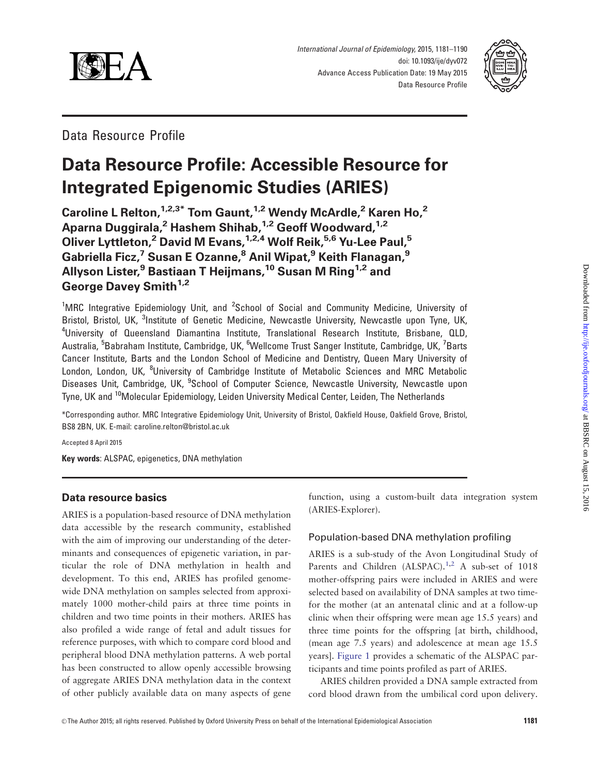

International Journal of Epidemiology, 2015, 1181–1190 doi: 10.1093/ije/dyv072 Advance Access Publication Date: 19 May 2015 Data Resource Profile



Data Resource Profile

# Data Resource Profile: Accessible Resource for Integrated Epigenomic Studies (ARIES)

Caroline L Relton, <sup>1,2,3\*</sup> Tom Gaunt, <sup>1,2</sup> Wendy McArdle,<sup>2</sup> Karen Ho,<sup>2</sup> Aparna Duggirala,<sup>2</sup> Hashem Shihab,<sup>1,2</sup> Geoff Woodward,<sup>1,2</sup> Oliver Lyttleton,<sup>2</sup> David M Evans,<sup>1,2,4</sup> Wolf Reik,<sup>5,6</sup> Yu-Lee Paul,<sup>5</sup> Gabriella Ficz,<sup>7</sup> Susan E Ozanne,<sup>8</sup> Anil Wipat,<sup>9</sup> Keith Flanagan,<sup>9</sup> Allyson Lister,<sup>9</sup> Bastiaan T Heijmans,<sup>10</sup> Susan M Ring<sup>1,2</sup> and George Davey Smith<sup>1,2</sup>

<sup>1</sup>MRC Integrative Epidemiology Unit, and <sup>2</sup>School of Social and Community Medicine, University of Bristol, Bristol, UK, <sup>3</sup>Institute of Genetic Medicine, Newcastle University, Newcastle upon Tyne, UK, 4 University of Queensland Diamantina Institute, Translational Research Institute, Brisbane, QLD, Australia, <sup>5</sup>Babraham Institute, Cambridge, UK, <sup>6</sup>Wellcome Trust Sanger Institute, Cambridge, UK, <sup>7</sup>Barts Cancer Institute, Barts and the London School of Medicine and Dentistry, Queen Mary University of London, London, UK, <sup>8</sup>University of Cambridge Institute of Metabolic Sciences and MRC Metabolic Diseases Unit, Cambridge, UK, <sup>9</sup>School of Computer Science, Newcastle University, Newcastle upon Tyne, UK and 10Molecular Epidemiology, Leiden University Medical Center, Leiden, The Netherlands

\*Corresponding author. MRC Integrative Epidemiology Unit, University of Bristol, Oakfield House, Oakfield Grove, Bristol, BS8 2BN, UK. E-mail: caroline.relton@bristol.ac.uk

Accepted 8 April 2015

Key words: ALSPAC, epigenetics, DNA methylation

# Data resource basics

ARIES is a population-based resource of DNA methylation data accessible by the research community, established with the aim of improving our understanding of the determinants and consequences of epigenetic variation, in particular the role of DNA methylation in health and development. To this end, ARIES has profiled genomewide DNA methylation on samples selected from approximately 1000 mother-child pairs at three time points in children and two time points in their mothers. ARIES has also profiled a wide range of fetal and adult tissues for reference purposes, with which to compare cord blood and peripheral blood DNA methylation patterns. A web portal has been constructed to allow openly accessible browsing of aggregate ARIES DNA methylation data in the context of other publicly available data on many aspects of gene

function, using a custom-built data integration system (ARIES-Explorer).

# Population-based DNA methylation profiling

ARIES is a sub-study of the Avon Longitudinal Study of Parents and Children (ALSPAC).<sup>[1,2](#page-8-0)</sup> A sub-set of 1018 mother-offspring pairs were included in ARIES and were selected based on availability of DNA samples at two timefor the mother (at an antenatal clinic and at a follow-up clinic when their offspring were mean age 15.5 years) and three time points for the offspring [at birth, childhood, (mean age 7.5 years) and adolescence at mean age 15.5 years]. [Figure 1](#page-1-0) provides a schematic of the ALSPAC participants and time points profiled as part of ARIES.

ARIES children provided a DNA sample extracted from cord blood drawn from the umbilical cord upon delivery.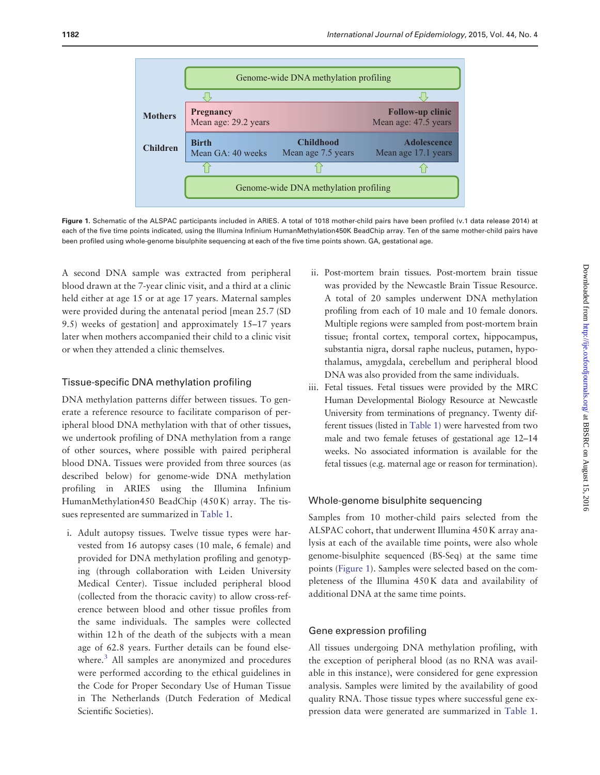<span id="page-1-0"></span>

Figure 1. Schematic of the ALSPAC participants included in ARIES. A total of 1018 mother-child pairs have been profiled (v.1 data release 2014) at each of the five time points indicated, using the Illumina Infinium HumanMethylation450K BeadChip array. Ten of the same mother-child pairs have been profiled using whole-genome bisulphite sequencing at each of the five time points shown. GA, gestational age.

A second DNA sample was extracted from peripheral blood drawn at the 7-year clinic visit, and a third at a clinic held either at age 15 or at age 17 years. Maternal samples were provided during the antenatal period [mean 25.7 (SD 9.5) weeks of gestation] and approximately 15–17 years later when mothers accompanied their child to a clinic visit or when they attended a clinic themselves.

## Tissue-specific DNA methylation profiling

DNA methylation patterns differ between tissues. To generate a reference resource to facilitate comparison of peripheral blood DNA methylation with that of other tissues, we undertook profiling of DNA methylation from a range of other sources, where possible with paired peripheral blood DNA. Tissues were provided from three sources (as described below) for genome-wide DNA methylation profiling in ARIES using the Illumina Infinium HumanMethylation450 BeadChip (450 K) array. The tissues represented are summarized in [Table 1.](#page-2-0)

i. Adult autopsy tissues. Twelve tissue types were harvested from 16 autopsy cases (10 male, 6 female) and provided for DNA methylation profiling and genotyping (through collaboration with Leiden University Medical Center). Tissue included peripheral blood (collected from the thoracic cavity) to allow cross-reference between blood and other tissue profiles from the same individuals. The samples were collected within 12 h of the death of the subjects with a mean age of 62.8 years. Further details can be found elsewhere.<sup>3</sup> All samples are anonymized and procedures were performed according to the ethical guidelines in the Code for Proper Secondary Use of Human Tissue in The Netherlands (Dutch Federation of Medical Scientific Societies).

- ii. Post-mortem brain tissues. Post-mortem brain tissue was provided by the Newcastle Brain Tissue Resource. A total of 20 samples underwent DNA methylation profiling from each of 10 male and 10 female donors. Multiple regions were sampled from post-mortem brain tissue; frontal cortex, temporal cortex, hippocampus, substantia nigra, dorsal raphe nucleus, putamen, hypothalamus, amygdala, cerebellum and peripheral blood DNA was also provided from the same individuals.
- iii. Fetal tissues. Fetal tissues were provided by the MRC Human Developmental Biology Resource at Newcastle University from terminations of pregnancy. Twenty different tissues (listed in [Table 1\)](#page-2-0) were harvested from two male and two female fetuses of gestational age 12–14 weeks. No associated information is available for the fetal tissues (e.g. maternal age or reason for termination).

## Whole-genome bisulphite sequencing

Samples from 10 mother-child pairs selected from the ALSPAC cohort, that underwent Illumina 450 K array analysis at each of the available time points, were also whole genome-bisulphite sequenced (BS-Seq) at the same time points (Figure 1). Samples were selected based on the completeness of the Illumina 450 K data and availability of additional DNA at the same time points.

## Gene expression profiling

All tissues undergoing DNA methylation profiling, with the exception of peripheral blood (as no RNA was available in this instance), were considered for gene expression analysis. Samples were limited by the availability of good quality RNA. Those tissue types where successful gene expression data were generated are summarized in [Table 1.](#page-2-0)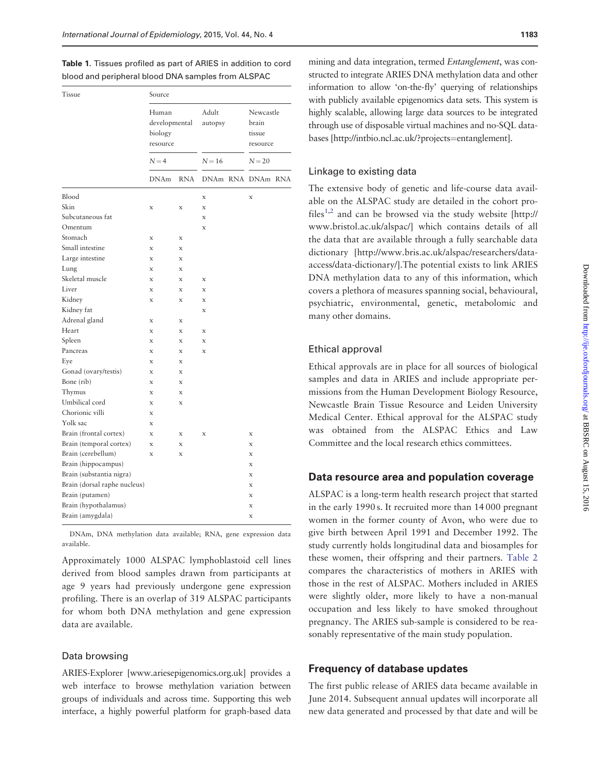<span id="page-2-0"></span>Table 1. Tissues profiled as part of ARIES in addition to cord blood and peripheral blood DNA samples from ALSPAC

| Tissue                       | Source                                                   |             |                              |  |                                                      |  |  |
|------------------------------|----------------------------------------------------------|-------------|------------------------------|--|------------------------------------------------------|--|--|
|                              | Human<br>developmental<br>biology<br>resource<br>$N = 4$ |             | Adult<br>autopsy<br>$N = 16$ |  | Newcastle<br>brain<br>tissue<br>resource<br>$N = 20$ |  |  |
|                              |                                                          |             |                              |  |                                                      |  |  |
|                              | <b>DNAm</b>                                              | <b>RNA</b>  |                              |  | DNAm RNA DNAm RNA                                    |  |  |
| Blood                        |                                                          |             | X                            |  | X                                                    |  |  |
| Skin                         | X                                                        | $\mathbf x$ | $\mathbf x$                  |  |                                                      |  |  |
| Subcutaneous fat             |                                                          |             | $\bf{x}$                     |  |                                                      |  |  |
| Omentum                      |                                                          |             | $\bf{x}$                     |  |                                                      |  |  |
| Stomach                      | X                                                        | $\mathbf x$ |                              |  |                                                      |  |  |
| Small intestine              | $\bf{x}$                                                 | $\mathbf x$ |                              |  |                                                      |  |  |
| Large intestine              | X                                                        | $\mathbf x$ |                              |  |                                                      |  |  |
| Lung                         | $\bf{x}$                                                 | $\mathbf x$ |                              |  |                                                      |  |  |
| Skeletal muscle              | $\mathbf x$                                              | $\mathbf x$ | $\mathbf x$                  |  |                                                      |  |  |
| Liver                        | X                                                        | $\mathbf x$ | $\mathbf x$                  |  |                                                      |  |  |
| Kidney                       | X                                                        | $\mathbf x$ | $\mathbf x$                  |  |                                                      |  |  |
| Kidney fat                   |                                                          |             | $\mathbf x$                  |  |                                                      |  |  |
| Adrenal gland                | $\mathbf x$                                              | $\mathbf x$ |                              |  |                                                      |  |  |
| Heart                        | X                                                        | $\mathbf x$ | $\mathbf x$                  |  |                                                      |  |  |
| Spleen                       | $\mathbf x$                                              | $\mathbf x$ | $\mathbf x$                  |  |                                                      |  |  |
| Pancreas                     | $\mathbf x$                                              | $\mathbf x$ | $\mathbf x$                  |  |                                                      |  |  |
| Eye                          | $\mathbf x$                                              | $\mathbf x$ |                              |  |                                                      |  |  |
| Gonad (ovary/testis)         | $\bf{x}$                                                 | $\mathbf x$ |                              |  |                                                      |  |  |
| Bone (rib)                   | X                                                        | $\mathbf x$ |                              |  |                                                      |  |  |
| Thymus                       | X                                                        | $\mathbf x$ |                              |  |                                                      |  |  |
| Umbilical cord               | $\bf{x}$                                                 | $\mathbf x$ |                              |  |                                                      |  |  |
| Chorionic villi              | X                                                        |             |                              |  |                                                      |  |  |
| Yolk sac                     | X                                                        |             |                              |  |                                                      |  |  |
| Brain (frontal cortex)       | $\mathbf x$                                              | $\mathbf x$ | $\mathbf x$                  |  | $\bf{x}$                                             |  |  |
| Brain (temporal cortex)      | $\bf{x}$                                                 | $\mathbf x$ |                              |  | X                                                    |  |  |
| Brain (cerebellum)           | $\bf{x}$                                                 | $\mathbf x$ |                              |  | X                                                    |  |  |
| Brain (hippocampus)          |                                                          |             |                              |  | X                                                    |  |  |
| Brain (substantia nigra)     |                                                          |             |                              |  | X                                                    |  |  |
| Brain (dorsal raphe nucleus) |                                                          |             |                              |  | X                                                    |  |  |
| Brain (putamen)              |                                                          |             |                              |  | X                                                    |  |  |
| Brain (hypothalamus)         |                                                          |             |                              |  | X                                                    |  |  |
| Brain (amygdala)             |                                                          |             |                              |  | X                                                    |  |  |

DNAm, DNA methylation data available; RNA, gene expression data available.

Approximately 1000 ALSPAC lymphoblastoid cell lines derived from blood samples drawn from participants at age 9 years had previously undergone gene expression profiling. There is an overlap of 319 ALSPAC participants for whom both DNA methylation and gene expression data are available.

# Data browsing

ARIES-Explorer [<www.ariesepigenomics.org.uk>] provides a web interface to browse methylation variation between groups of individuals and across time. Supporting this web interface, a highly powerful platform for graph-based data

mining and data integration, termed Entanglement, was constructed to integrate ARIES DNA methylation data and other information to allow 'on-the-fly' querying of relationships with publicly available epigenomics data sets. This system is highly scalable, allowing large data sources to be integrated through use of disposable virtual machines and no-SQL databases [[http://intbio.ncl.ac.uk/?projects](http://intbio.ncl.ac.uk/?projects=entanglement)=[entanglement](http://intbio.ncl.ac.uk/?projects=entanglement)].

## Linkage to existing data

The extensive body of genetic and life-course data available on the ALSPAC study are detailed in the cohort pro-files<sup>[1,2](#page-8-0)</sup> and can be browsed via the study website [[http://](http://www.bristol.ac.uk/alspac/) [www.bristol.ac.uk/alspac/\]](http://www.bristol.ac.uk/alspac/) which contains details of all the data that are available through a fully searchable data dictionary [[http://www.bris.ac.uk/alspac/researchers/data](http://www.bris.ac.uk/alspac/researchers/data-access/data-dictionary/)[access/data-dictionary/\]](http://www.bris.ac.uk/alspac/researchers/data-access/data-dictionary/).The potential exists to link ARIES DNA methylation data to any of this information, which covers a plethora of measures spanning social, behavioural, psychiatric, environmental, genetic, metabolomic and many other domains.

#### Ethical approval

Ethical approvals are in place for all sources of biological samples and data in ARIES and include appropriate permissions from the Human Development Biology Resource, Newcastle Brain Tissue Resource and Leiden University Medical Center. Ethical approval for the ALSPAC study was obtained from the ALSPAC Ethics and Law Committee and the local research ethics committees.

#### Data resource area and population coverage

ALSPAC is a long-term health research project that started in the early 1990 s. It recruited more than 14 000 pregnant women in the former county of Avon, who were due to give birth between April 1991 and December 1992. The study currently holds longitudinal data and biosamples for these women, their offspring and their partners. [Table 2](#page-3-0) compares the characteristics of mothers in ARIES with those in the rest of ALSPAC. Mothers included in ARIES were slightly older, more likely to have a non-manual occupation and less likely to have smoked throughout pregnancy. The ARIES sub-sample is considered to be reasonably representative of the main study population.

# Frequency of database updates

The first public release of ARIES data became available in June 2014. Subsequent annual updates will incorporate all new data generated and processed by that date and will be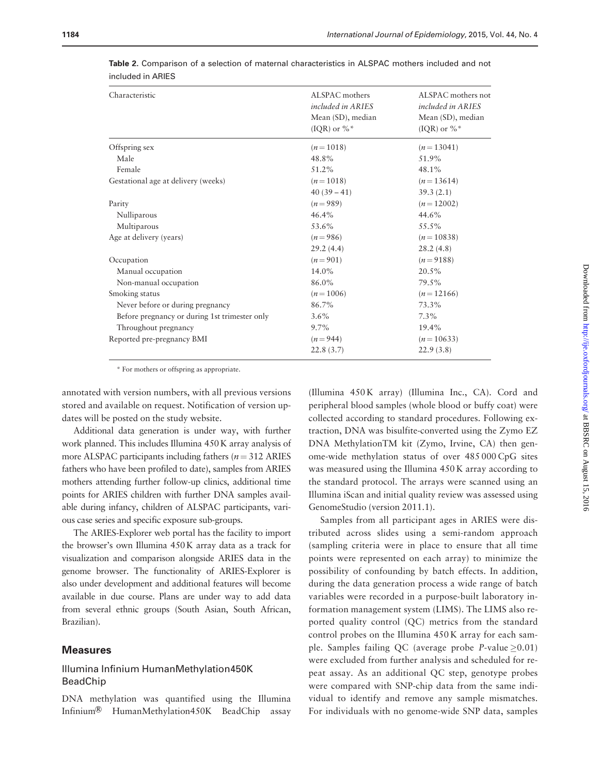| Characteristic                                | ALSPAC mothers<br><i>included in ARIES</i><br>Mean (SD), median<br>(IQR) or $\%$ <sup>*</sup> | ALSPAC mothers not<br><i>included in ARIES</i><br>Mean (SD), median<br>(IQR) or $\%$ <sup>*</sup> |
|-----------------------------------------------|-----------------------------------------------------------------------------------------------|---------------------------------------------------------------------------------------------------|
| Offspring sex                                 | $(n=1018)$                                                                                    | $(n=13041)$                                                                                       |
| Male                                          | 48.8%                                                                                         | 51.9%                                                                                             |
| Female                                        | 51.2%                                                                                         | 48.1%                                                                                             |
| Gestational age at delivery (weeks)           | $(n=1018)$                                                                                    | $(n=13614)$                                                                                       |
|                                               | $40(39-41)$                                                                                   | 39.3(2.1)                                                                                         |
| Parity                                        | $(n=989)$                                                                                     | $(n=12002)$                                                                                       |
| Nulliparous                                   | 46.4%                                                                                         | 44.6%                                                                                             |
| Multiparous                                   | 53.6%                                                                                         | 55.5%                                                                                             |
| Age at delivery (years)                       | $(n=986)$                                                                                     | $(n=10838)$                                                                                       |
|                                               | 29.2(4.4)                                                                                     | 28.2(4.8)                                                                                         |
| Occupation                                    | $(n=901)$                                                                                     | $(n=9188)$                                                                                        |
| Manual occupation                             | 14.0%                                                                                         | 20.5%                                                                                             |
| Non-manual occupation                         | 86.0%                                                                                         | 79.5%                                                                                             |
| Smoking status                                | $(n=1006)$                                                                                    | $(n=12166)$                                                                                       |
| Never before or during pregnancy              | 86.7%                                                                                         | 73.3%                                                                                             |
| Before pregnancy or during 1st trimester only | 3.6%                                                                                          | $7.3\%$                                                                                           |
| Throughout pregnancy                          | $9.7\%$                                                                                       | 19.4%                                                                                             |
| Reported pre-pregnancy BMI                    | $(n=944)$                                                                                     | $(n=10633)$                                                                                       |
|                                               | 22.8(3.7)                                                                                     | 22.9(3.8)                                                                                         |
|                                               |                                                                                               |                                                                                                   |

<span id="page-3-0"></span>Table 2. Comparison of a selection of maternal characteristics in ALSPAC mothers included and not included in ARIES

\* For mothers or offspring as appropriate.

annotated with version numbers, with all previous versions stored and available on request. Notification of version updates will be posted on the study website.

Additional data generation is under way, with further work planned. This includes Illumina 450 K array analysis of more ALSPAC participants including fathers ( $n = 312$  ARIES fathers who have been profiled to date), samples from ARIES mothers attending further follow-up clinics, additional time points for ARIES children with further DNA samples available during infancy, children of ALSPAC participants, various case series and specific exposure sub-groups.

The ARIES-Explorer web portal has the facility to import the browser's own Illumina 450 K array data as a track for visualization and comparison alongside ARIES data in the genome browser. The functionality of ARIES-Explorer is also under development and additional features will become available in due course. Plans are under way to add data from several ethnic groups (South Asian, South African, Brazilian).

# Measures

# Illumina Infinium HumanMethylation450K BeadChip

DNA methylation was quantified using the Illumina Infinium<sup>®</sup> HumanMethylation450K BeadChip assay

(Illumina 450 K array) (Illumina Inc., CA). Cord and peripheral blood samples (whole blood or buffy coat) were collected according to standard procedures. Following extraction, DNA was bisulfite-converted using the Zymo EZ DNA MethylationTM kit (Zymo, Irvine, CA) then genome-wide methylation status of over 485 000 CpG sites was measured using the Illumina 450 K array according to the standard protocol. The arrays were scanned using an Illumina iScan and initial quality review was assessed using GenomeStudio (version 2011.1).

Samples from all participant ages in ARIES were distributed across slides using a semi-random approach (sampling criteria were in place to ensure that all time points were represented on each array) to minimize the possibility of confounding by batch effects. In addition, during the data generation process a wide range of batch variables were recorded in a purpose-built laboratory information management system (LIMS). The LIMS also reported quality control (QC) metrics from the standard control probes on the Illumina 450 K array for each sample. Samples failing QC (average probe *P*-value  $\geq$ 0.01) were excluded from further analysis and scheduled for repeat assay. As an additional QC step, genotype probes were compared with SNP-chip data from the same individual to identify and remove any sample mismatches. For individuals with no genome-wide SNP data, samples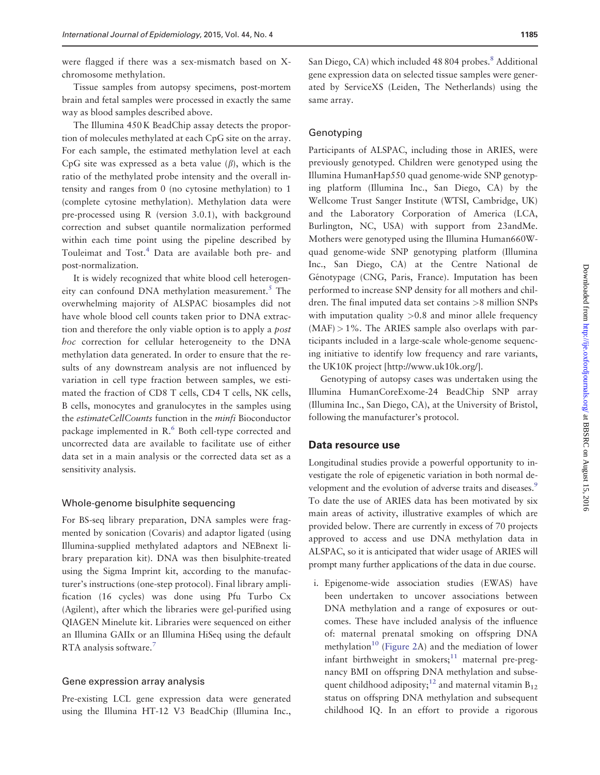were flagged if there was a sex-mismatch based on Xchromosome methylation.

Tissue samples from autopsy specimens, post-mortem brain and fetal samples were processed in exactly the same way as blood samples described above.

The Illumina 450 K BeadChip assay detects the proportion of molecules methylated at each CpG site on the array. For each sample, the estimated methylation level at each CpG site was expressed as a beta value  $(\beta)$ , which is the ratio of the methylated probe intensity and the overall intensity and ranges from 0 (no cytosine methylation) to 1 (complete cytosine methylation). Methylation data were pre-processed using R (version 3.0.1), with background correction and subset quantile normalization performed within each time point using the pipeline described by Touleimat and Tost.<sup>[4](#page-8-0)</sup> Data are available both pre- and post-normalization.

It is widely recognized that white blood cell heterogen-eity can confound DNA methylation measurement.<sup>[5](#page-8-0)</sup> The overwhelming majority of ALSPAC biosamples did not have whole blood cell counts taken prior to DNA extraction and therefore the only viable option is to apply a post hoc correction for cellular heterogeneity to the DNA methylation data generated. In order to ensure that the results of any downstream analysis are not influenced by variation in cell type fraction between samples, we estimated the fraction of CD8 T cells, CD4 T cells, NK cells, B cells, monocytes and granulocytes in the samples using the estimateCellCounts function in the minfi Bioconductor package implemented in R.<sup>[6](#page-8-0)</sup> Both cell-type corrected and uncorrected data are available to facilitate use of either data set in a main analysis or the corrected data set as a sensitivity analysis.

#### Whole-genome bisulphite sequencing

For BS-seq library preparation, DNA samples were fragmented by sonication (Covaris) and adaptor ligated (using Illumina-supplied methylated adaptors and NEBnext library preparation kit). DNA was then bisulphite-treated using the Sigma Imprint kit, according to the manufacturer's instructions (one-step protocol). Final library amplification (16 cycles) was done using Pfu Turbo Cx (Agilent), after which the libraries were gel-purified using QIAGEN Minelute kit. Libraries were sequenced on either an Illumina GAIIx or an Illumina HiSeq using the default RTA analysis software[.7](#page-8-0)

#### Gene expression array analysis

Pre-existing LCL gene expression data were generated using the Illumina HT-12 V3 BeadChip (Illumina Inc.,

San Diego, CA) which included 48 804 probes.<sup>8</sup> Additional gene expression data on selected tissue samples were generated by ServiceXS (Leiden, The Netherlands) using the same array.

## Genotyping

Participants of ALSPAC, including those in ARIES, were previously genotyped. Children were genotyped using the Illumina HumanHap550 quad genome-wide SNP genotyping platform (Illumina Inc., San Diego, CA) by the Wellcome Trust Sanger Institute (WTSI, Cambridge, UK) and the Laboratory Corporation of America (LCA, Burlington, NC, USA) with support from 23andMe. Mothers were genotyped using the Illumina Human660Wquad genome-wide SNP genotyping platform (Illumina Inc., San Diego, CA) at the Centre National de Génotypage (CNG, Paris, France). Imputation has been performed to increase SNP density for all mothers and children. The final imputed data set contains >8 million SNPs with imputation quality  $>0.8$  and minor allele frequency  $(MAF) > 1\%$ . The ARIES sample also overlaps with participants included in a large-scale whole-genome sequencing initiative to identify low frequency and rare variants, the UK10K project [\[http://www.uk10k.org/\]](http://www.uk10k.org/).

Genotyping of autopsy cases was undertaken using the Illumina HumanCoreExome-24 BeadChip SNP array (Illumina Inc., San Diego, CA), at the University of Bristol, following the manufacturer's protocol.

# Data resource use

Longitudinal studies provide a powerful opportunity to investigate the role of epigenetic variation in both normal development and the evolution of adverse traits and diseases.<sup>9</sup> To date the use of ARIES data has been motivated by six main areas of activity, illustrative examples of which are provided below. There are currently in excess of 70 projects approved to access and use DNA methylation data in ALSPAC, so it is anticipated that wider usage of ARIES will prompt many further applications of the data in due course.

i. Epigenome-wide association studies (EWAS) have been undertaken to uncover associations between DNA methylation and a range of exposures or outcomes. These have included analysis of the influence of: maternal prenatal smoking on offspring DNA methylation<sup>10</sup> ([Figure 2](#page-6-0)A) and the mediation of lower infant birthweight in smokers; $11$  maternal pre-pregnancy BMI on offspring DNA methylation and subse-quent childhood adiposity;<sup>[12](#page-8-0)</sup> and maternal vitamin  $B_{12}$ status on offspring DNA methylation and subsequent childhood IQ. In an effort to provide a rigorous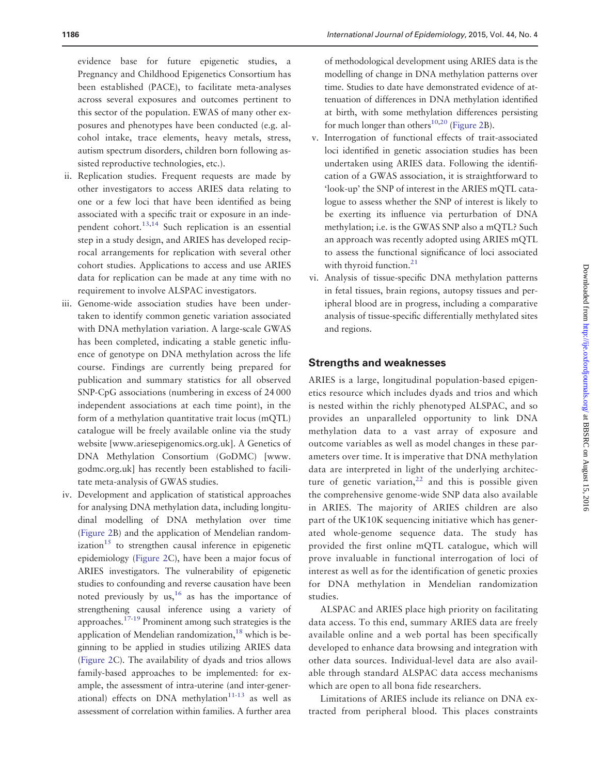evidence base for future epigenetic studies, a Pregnancy and Childhood Epigenetics Consortium has been established (PACE), to facilitate meta-analyses across several exposures and outcomes pertinent to this sector of the population. EWAS of many other exposures and phenotypes have been conducted (e.g. alcohol intake, trace elements, heavy metals, stress, autism spectrum disorders, children born following assisted reproductive technologies, etc.).

- ii. Replication studies. Frequent requests are made by other investigators to access ARIES data relating to one or a few loci that have been identified as being associated with a specific trait or exposure in an independent cohort.[13,14](#page-8-0) Such replication is an essential step in a study design, and ARIES has developed reciprocal arrangements for replication with several other cohort studies. Applications to access and use ARIES data for replication can be made at any time with no requirement to involve ALSPAC investigators.
- iii. Genome-wide association studies have been undertaken to identify common genetic variation associated with DNA methylation variation. A large-scale GWAS has been completed, indicating a stable genetic influence of genotype on DNA methylation across the life course. Findings are currently being prepared for publication and summary statistics for all observed SNP-CpG associations (numbering in excess of 24 000 independent associations at each time point), in the form of a methylation quantitative trait locus (mQTL) catalogue will be freely available online via the study website [<www.ariesepigenomics.org.uk>]. A Genetics of DNA Methylation Consortium (GoDMC) [[www.](www.godmc.org.uk) [godmc.org.uk\]](www.godmc.org.uk) has recently been established to facilitate meta-analysis of GWAS studies.
- iv. Development and application of statistical approaches for analysing DNA methylation data, including longitudinal modelling of DNA methylation over time [\(Figure 2](#page-6-0)B) and the application of Mendelian randomization $15$  to strengthen causal inference in epigenetic epidemiology [\(Figure 2](#page-6-0)C), have been a major focus of ARIES investigators. The vulnerability of epigenetic studies to confounding and reverse causation have been noted previously by us,  $16$  as has the importance of strengthening causal inference using a variety of approaches[.17-19](#page-8-0) Prominent among such strategies is the application of Mendelian randomization, $18$  which is beginning to be applied in studies utilizing ARIES data [\(Figure 2](#page-6-0)C). The availability of dyads and trios allows family-based approaches to be implemented: for example, the assessment of intra-uterine (and inter-generational) effects on DNA methylation $11-13$  as well as assessment of correlation within families. A further area

of methodological development using ARIES data is the modelling of change in DNA methylation patterns over time. Studies to date have demonstrated evidence of attenuation of differences in DNA methylation identified at birth, with some methylation differences persisting for much longer than others<sup>10,20</sup> [\(Figure 2B](#page-6-0)).

- v. Interrogation of functional effects of trait-associated loci identified in genetic association studies has been undertaken using ARIES data. Following the identification of a GWAS association, it is straightforward to 'look-up' the SNP of interest in the ARIES mQTL catalogue to assess whether the SNP of interest is likely to be exerting its influence via perturbation of DNA methylation; i.e. is the GWAS SNP also a mQTL? Such an approach was recently adopted using ARIES mQTL to assess the functional significance of loci associated with thyroid function.<sup>21</sup>
- vi. Analysis of tissue-specific DNA methylation patterns in fetal tissues, brain regions, autopsy tissues and peripheral blood are in progress, including a comparative analysis of tissue-specific differentially methylated sites and regions.

# Strengths and weaknesses

ARIES is a large, longitudinal population-based epigenetics resource which includes dyads and trios and which is nested within the richly phenotyped ALSPAC, and so provides an unparalleled opportunity to link DNA methylation data to a vast array of exposure and outcome variables as well as model changes in these parameters over time. It is imperative that DNA methylation data are interpreted in light of the underlying architecture of genetic variation,  $22$  and this is possible given the comprehensive genome-wide SNP data also available in ARIES. The majority of ARIES children are also part of the UK10K sequencing initiative which has generated whole-genome sequence data. The study has provided the first online mQTL catalogue, which will prove invaluable in functional interrogation of loci of interest as well as for the identification of genetic proxies for DNA methylation in Mendelian randomization studies.

ALSPAC and ARIES place high priority on facilitating data access. To this end, summary ARIES data are freely available online and a web portal has been specifically developed to enhance data browsing and integration with other data sources. Individual-level data are also available through standard ALSPAC data access mechanisms which are open to all bona fide researchers.

Limitations of ARIES include its reliance on DNA extracted from peripheral blood. This places constraints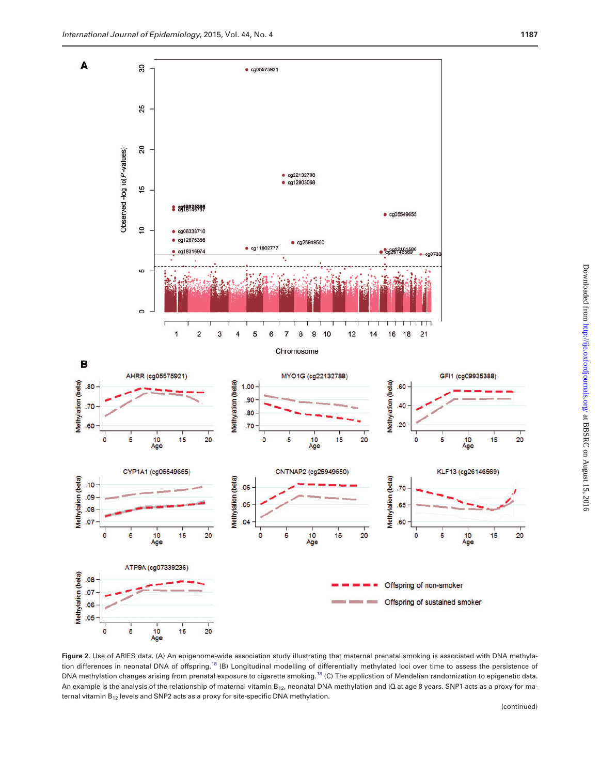<span id="page-6-0"></span>

Figure 2. Use of ARIES data. (A) An epigenome-wide association study illustrating that maternal prenatal smoking is associated with DNA methyla-tion differences in neonatal DNA of offspring.<sup>[18](#page-8-0)</sup> (B) Longitudinal modelling of differentially methylated loci over time to assess the persistence of DNA methylation changes arising from prenatal exposure to cigarette smoking.<sup>[18](#page-8-0)</sup> (C) The application of Mendelian randomization to epigenetic data. An example is the analysis of the relationship of maternal vitamin B<sub>12</sub>, neonatal DNA methylation and IQ at age 8 years. SNP1 acts as a proxy for maternal vitamin  $B_{12}$  levels and SNP2 acts as a proxy for site-specific DNA methylation.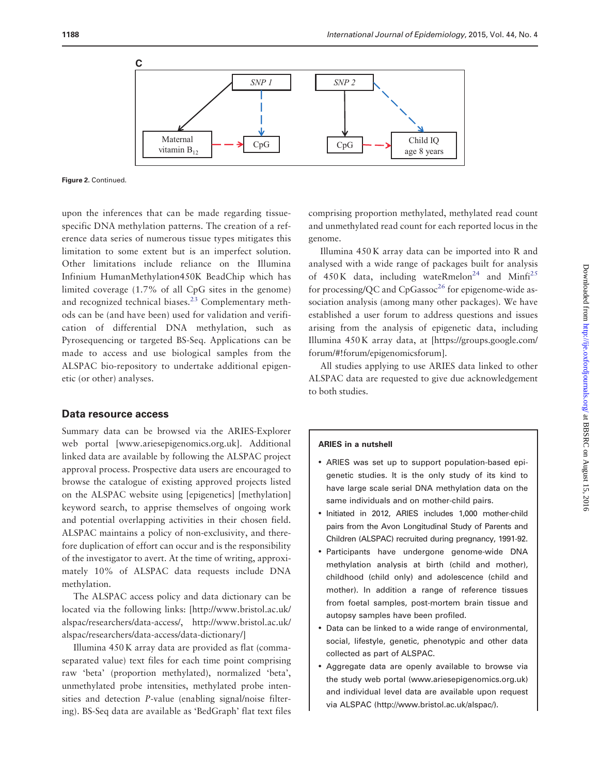

Figure 2. Continued.

upon the inferences that can be made regarding tissuespecific DNA methylation patterns. The creation of a reference data series of numerous tissue types mitigates this limitation to some extent but is an imperfect solution. Other limitations include reliance on the Illumina Infinium HumanMethylation450K BeadChip which has limited coverage (1.7% of all CpG sites in the genome) and recognized technical biases.<sup>[23](#page-8-0)</sup> Complementary methods can be (and have been) used for validation and verification of differential DNA methylation, such as Pyrosequencing or targeted BS-Seq. Applications can be made to access and use biological samples from the ALSPAC bio-repository to undertake additional epigenetic (or other) analyses.

## Data resource access

Summary data can be browsed via the ARIES-Explorer web portal [\[www.ariesepigenomics.org.uk\]](www.ariesepigenomics.org.uk). Additional linked data are available by following the ALSPAC project approval process. Prospective data users are encouraged to browse the catalogue of existing approved projects listed on the ALSPAC website using [epigenetics] [methylation] keyword search, to apprise themselves of ongoing work and potential overlapping activities in their chosen field. ALSPAC maintains a policy of non-exclusivity, and therefore duplication of effort can occur and is the responsibility of the investigator to avert. At the time of writing, approximately 10% of ALSPAC data requests include DNA methylation.

The ALSPAC access policy and data dictionary can be located via the following links: [\[http://www.bristol.ac.uk/](http://www.bristol.ac.uk/alspac/researchers/data-access/) [alspac/researchers/data-access/](http://www.bristol.ac.uk/alspac/researchers/data-access/), [http://www.bristol.ac.uk/](http://www.bristol.ac.uk/alspac/researchers/data-access/data-dictionary/) [alspac/researchers/data-access/data-dictionary/\]](http://www.bristol.ac.uk/alspac/researchers/data-access/data-dictionary/)

Illumina 450 K array data are provided as flat (commaseparated value) text files for each time point comprising raw 'beta' (proportion methylated), normalized 'beta', unmethylated probe intensities, methylated probe intensities and detection P-value (enabling signal/noise filtering). BS-Seq data are available as 'BedGraph' flat text files comprising proportion methylated, methylated read count and unmethylated read count for each reported locus in the genome.

Illumina 450 K array data can be imported into R and analysed with a wide range of packages built for analysis of  $450K$  data, including wateRmelon<sup>24</sup> and Minfi<sup>25</sup> for processing/QC and  $CpG$ assoc<sup>[26](#page-9-0)</sup> for epigenome-wide association analysis (among many other packages). We have established a user forum to address questions and issues arising from the analysis of epigenetic data, including Illumina 450 K array data, at [\[https://groups.google.com/](https://groups.google.com/forum/#) [forum/#](https://groups.google.com/forum/#)!forum/epigenomicsforum].

All studies applying to use ARIES data linked to other ALSPAC data are requested to give due acknowledgement to both studies.

#### ARIES in a nutshell

- ARIES was set up to support population-based epigenetic studies. It is the only study of its kind to have large scale serial DNA methylation data on the same individuals and on mother-child pairs.
- Initiated in 2012, ARIES includes 1,000 mother-child pairs from the Avon Longitudinal Study of Parents and Children (ALSPAC) recruited during pregnancy, 1991-92.
- Participants have undergone genome-wide DNA methylation analysis at birth (child and mother), childhood (child only) and adolescence (child and mother). In addition a range of reference tissues from foetal samples, post-mortem brain tissue and autopsy samples have been profiled.
- Data can be linked to a wide range of environmental, social, lifestyle, genetic, phenotypic and other data collected as part of ALSPAC.
- Aggregate data are openly available to browse via the study web portal ([www.ariesepigenomics.org.uk](http://www.ariesepigenomics.org.uk)) and individual level data are available upon request via ALSPAC (<http://www.bristol.ac.uk/alspac/>).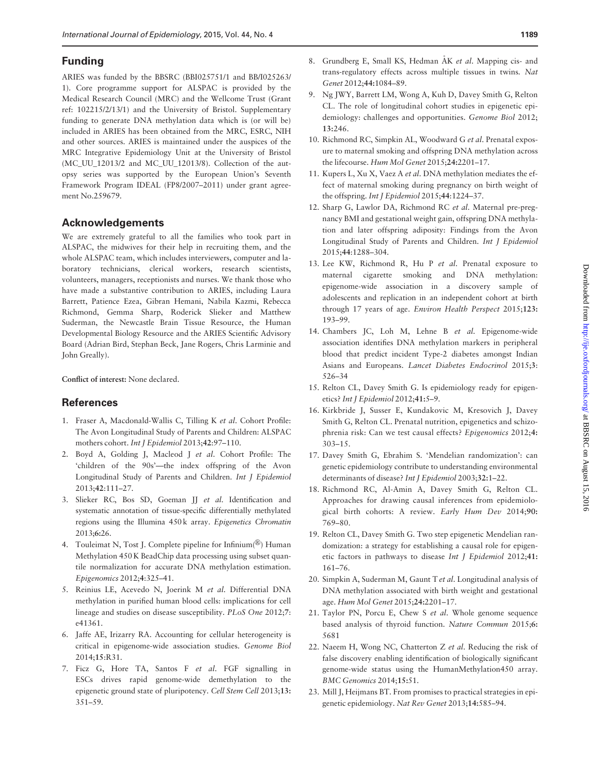# <span id="page-8-0"></span>Funding

ARIES was funded by the BBSRC (BBI025751/1 and BB/I025263/ 1). Core programme support for ALSPAC is provided by the Medical Research Council (MRC) and the Wellcome Trust (Grant ref: 102215/2/13/1) and the University of Bristol. Supplementary funding to generate DNA methylation data which is (or will be) included in ARIES has been obtained from the MRC, ESRC, NIH and other sources. ARIES is maintained under the auspices of the MRC Integrative Epidemiology Unit at the University of Bristol (MC\_UU\_12013/2 and MC\_UU\_12013/8). Collection of the autopsy series was supported by the European Union's Seventh Framework Program IDEAL (FP8/2007–2011) under grant agreement No.259679.

# Acknowledgements

We are extremely grateful to all the families who took part in ALSPAC, the midwives for their help in recruiting them, and the whole ALSPAC team, which includes interviewers, computer and laboratory technicians, clerical workers, research scientists, volunteers, managers, receptionists and nurses. We thank those who have made a substantive contribution to ARIES, including Laura Barrett, Patience Ezea, Gibran Hemani, Nabila Kazmi, Rebecca Richmond, Gemma Sharp, Roderick Slieker and Matthew Suderman, the Newcastle Brain Tissue Resource, the Human Developmental Biology Resource and the ARIES Scientific Advisory Board (Adrian Bird, Stephan Beck, Jane Rogers, Chris Larminie and John Greally).

Conflict of interest: None declared.

# **References**

- 1. Fraser A, Macdonald-Wallis C, Tilling K et al. Cohort Profile: The Avon Longitudinal Study of Parents and Children: ALSPAC mothers cohort. Int J Epidemiol 2013;42:97–110.
- 2. Boyd A, Golding J, Macleod J et al. Cohort Profile: The 'children of the 90s'—the index offspring of the Avon Longitudinal Study of Parents and Children. Int J Epidemiol 2013;42:111–27.
- 3. Slieker RC, Bos SD, Goeman JJ et al. Identification and systematic annotation of tissue-specific differentially methylated regions using the Illumina 450 k array. Epigenetics Chromatin 2013;6:26.
- 4. Touleimat N, Tost J. Complete pipeline for Infinium( $\mathcal{B}$ ) Human Methylation 450 K BeadChip data processing using subset quantile normalization for accurate DNA methylation estimation. Epigenomics 2012;4:325–41.
- 5. Reinius LE, Acevedo N, Joerink M et al. Differential DNA methylation in purified human blood cells: implications for cell lineage and studies on disease susceptibility. PLoS One 2012;7: e41361.
- 6. Jaffe AE, Irizarry RA. Accounting for cellular heterogeneity is critical in epigenome-wide association studies. Genome Biol 2014;15:R31.
- 7. Ficz G, Hore TA, Santos F et al. FGF signalling in ESCs drives rapid genome-wide demethylation to the epigenetic ground state of pluripotency. Cell Stem Cell 2013;13: 351–59.
- 8. Grundberg E, Small KS, Hedman AK et al. Mapping cis- and trans-regulatory effects across multiple tissues in twins. Nat Genet 2012;44:1084–89.
- 9. Ng JWY, Barrett LM, Wong A, Kuh D, Davey Smith G, Relton CL. The role of longitudinal cohort studies in epigenetic epidemiology: challenges and opportunities. Genome Biol 2012; 13:246.
- 10. Richmond RC, Simpkin AL, Woodward G et al. Prenatal exposure to maternal smoking and offspring DNA methylation across the lifecourse. Hum Mol Genet 2015;24:2201–17.
- 11. Kupers L, Xu X, Vaez A et al. DNA methylation mediates the effect of maternal smoking during pregnancy on birth weight of the offspring. Int J Epidemiol 2015;44:1224–37.
- 12. Sharp G, Lawlor DA, Richmond RC et al. Maternal pre-pregnancy BMI and gestational weight gain, offspring DNA methylation and later offspring adiposity: Findings from the Avon Longitudinal Study of Parents and Children. Int J Epidemiol 2015;44:1288–304.
- 13. Lee KW, Richmond R, Hu P et al. Prenatal exposure to maternal cigarette smoking and DNA methylation: epigenome-wide association in a discovery sample of adolescents and replication in an independent cohort at birth through 17 years of age. Environ Health Perspect 2015;123: 193–99.
- 14. Chambers JC, Loh M, Lehne B et al. Epigenome-wide association identifies DNA methylation markers in peripheral blood that predict incident Type-2 diabetes amongst Indian Asians and Europeans. Lancet Diabetes Endocrinol 2015;3: 526–34
- 15. Relton CL, Davey Smith G. Is epidemiology ready for epigenetics? Int J Epidemiol 2012;41:5–9.
- 16. Kirkbride J, Susser E, Kundakovic M, Kresovich J, Davey Smith G, Relton CL. Prenatal nutrition, epigenetics and schizophrenia risk: Can we test causal effects? Epigenomics 2012;4: 303–15.
- 17. Davey Smith G, Ebrahim S. 'Mendelian randomization': can genetic epidemiology contribute to understanding environmental determinants of disease? Int J Epidemiol 2003;32:1–22.
- 18. Richmond RC, Al-Amin A, Davey Smith G, Relton CL. Approaches for drawing causal inferences from epidemiological birth cohorts: A review. Early Hum Dev 2014;90: 769–80.
- 19. Relton CL, Davey Smith G. Two step epigenetic Mendelian randomization: a strategy for establishing a causal role for epigenetic factors in pathways to disease Int J Epidemiol 2012;41: 161–76.
- 20. Simpkin A, Suderman M, Gaunt T et al. Longitudinal analysis of DNA methylation associated with birth weight and gestational age. Hum Mol Genet 2015;24:2201–17.
- 21. Taylor PN, Porcu E, Chew S et al. Whole genome sequence based analysis of thyroid function. Nature Commun 2015;6: 5681
- 22. Naeem H, Wong NC, Chatterton Z et al. Reducing the risk of false discovery enabling identification of biologically significant genome-wide status using the HumanMethylation450 array. BMC Genomics 2014;15:51.
- 23. Mill J, Heijmans BT. From promises to practical strategies in epigenetic epidemiology. Nat Rev Genet 2013;14:585–94.